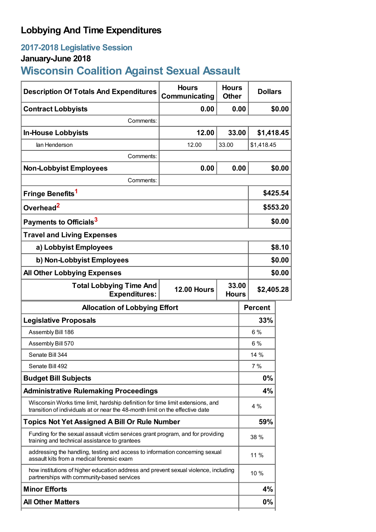## **Lobbying And Time Expenditures**

## **2017-2018 Legislative Session**

## **January-June 2018**

# **Wisconsin Coalition Against Sexual Assault**

| <b>Description Of Totals And Expenditures</b>                                                                                                                   | <b>Hours</b><br><b>Communicating</b> | <b>Hours</b><br><b>Other</b> | <b>Dollars</b>                      |          |  |
|-----------------------------------------------------------------------------------------------------------------------------------------------------------------|--------------------------------------|------------------------------|-------------------------------------|----------|--|
| <b>Contract Lobbyists</b>                                                                                                                                       | 0.00                                 | 0.00                         |                                     | \$0.00   |  |
| Comments:                                                                                                                                                       |                                      |                              |                                     |          |  |
| <b>In-House Lobbyists</b>                                                                                                                                       | 12.00                                | 33.00                        | \$1,418.45                          |          |  |
| lan Henderson                                                                                                                                                   | 12.00                                | 33.00                        | \$1,418.45                          |          |  |
| Comments:                                                                                                                                                       |                                      |                              |                                     |          |  |
| <b>Non-Lobbyist Employees</b>                                                                                                                                   | 0.00                                 | 0.00                         |                                     | \$0.00   |  |
| Comments:                                                                                                                                                       |                                      |                              |                                     |          |  |
| Fringe Benefits <sup>1</sup>                                                                                                                                    |                                      |                              |                                     | \$425.54 |  |
| Overhead <sup>2</sup>                                                                                                                                           |                                      |                              |                                     | \$553.20 |  |
| Payments to Officials <sup>3</sup>                                                                                                                              |                                      |                              |                                     | \$0.00   |  |
| <b>Travel and Living Expenses</b>                                                                                                                               |                                      |                              |                                     |          |  |
| a) Lobbyist Employees                                                                                                                                           |                                      |                              |                                     | \$8.10   |  |
| b) Non-Lobbyist Employees                                                                                                                                       |                                      |                              |                                     | \$0.00   |  |
| <b>All Other Lobbying Expenses</b>                                                                                                                              |                                      |                              |                                     | \$0.00   |  |
| <b>Total Lobbying Time And</b><br><b>Expenditures:</b>                                                                                                          | <b>12.00 Hours</b>                   |                              | 33.00<br>\$2,405.28<br><b>Hours</b> |          |  |
| <b>Allocation of Lobbying Effort</b>                                                                                                                            |                                      |                              | <b>Percent</b>                      |          |  |
| <b>Legislative Proposals</b>                                                                                                                                    |                                      |                              | 33%                                 |          |  |
| Assembly Bill 186                                                                                                                                               |                                      |                              | 6 %                                 |          |  |
| Assembly Bill 570                                                                                                                                               |                                      |                              |                                     |          |  |
|                                                                                                                                                                 |                                      |                              | 6%                                  |          |  |
| Senate Bill 344                                                                                                                                                 |                                      |                              | 14 %                                |          |  |
| Senate Bill 492                                                                                                                                                 |                                      |                              | 7 %                                 |          |  |
| <b>Budget Bill Subjects</b>                                                                                                                                     |                                      |                              | $0\%$                               |          |  |
| <b>Administrative Rulemaking Proceedings</b>                                                                                                                    |                                      |                              | 4%                                  |          |  |
| Wisconsin Works time limit, hardship definition for time limit extensions, and<br>transition of individuals at or near the 48-month limit on the effective date |                                      |                              | 4 %                                 |          |  |
| <b>Topics Not Yet Assigned A Bill Or Rule Number</b>                                                                                                            |                                      |                              | 59%                                 |          |  |
| Funding for the sexual assault victim services grant program, and for providing<br>training and technical assistance to grantees                                |                                      |                              | 38 %                                |          |  |
| addressing the handling, testing and access to information concerning sexual<br>assault kits from a medical forensic exam                                       |                                      |                              | 11 %                                |          |  |
| how institutions of higher education address and prevent sexual violence, including<br>partnerships with community-based services                               |                                      |                              | 10 %                                |          |  |
| <b>Minor Efforts</b>                                                                                                                                            |                                      |                              | 4%                                  |          |  |
| <b>All Other Matters</b>                                                                                                                                        |                                      |                              | 0%                                  |          |  |